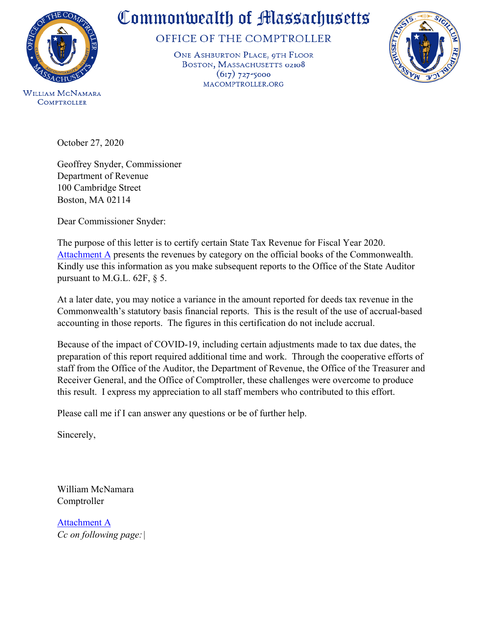

**COMPTROLLER** 

## Commonwealth of Massachusetts

OFFICE OF THE COMPTROLLER

ONE ASHBURTON PLACE, 9TH FLOOR BOSTON, MASSACHUSETTS 02108  $(617)$  727-5000 MACOMPTROLLER.ORG



October 27, 2020

Geoffrey Snyder, Commissioner Department of Revenue 100 Cambridge Street Boston, MA 02114

Dear Commissioner Snyder:

The purpose of this letter is to certify certain State Tax Revenue for Fiscal Year 2020. [Attachment A](http://www.macomptroller.info/comptroller/publications-and-reports/legislatively-mandated/state-tax-revenues-chapter-555/attachments/Chapter%2062F%20Schedule%20FY20.xlsx) presents the revenues by category on the official books of the Commonwealth. Kindly use this information as you make subsequent reports to the Office of the State Auditor pursuant to M.G.L. 62F, § 5.

At a later date, you may notice a variance in the amount reported for deeds tax revenue in the Commonwealth's statutory basis financial reports. This is the result of the use of accrual-based accounting in those reports. The figures in this certification do not include accrual.

Because of the impact of COVID-19, including certain adjustments made to tax due dates, the preparation of this report required additional time and work. Through the cooperative efforts of staff from the Office of the Auditor, the Department of Revenue, the Office of the Treasurer and Receiver General, and the Office of Comptroller, these challenges were overcome to produce this result. I express my appreciation to all staff members who contributed to this effort.

Please call me if I can answer any questions or be of further help.

Sincerely,

William McNamara Comptroller

[Attachment A](http://www.macomptroller.info/comptroller/publications-and-reports/legislatively-mandated/state-tax-revenues-chapter-555/attachments/Chapter%2062F%20Schedule%20FY20.xlsx) *Cc on following page:|*